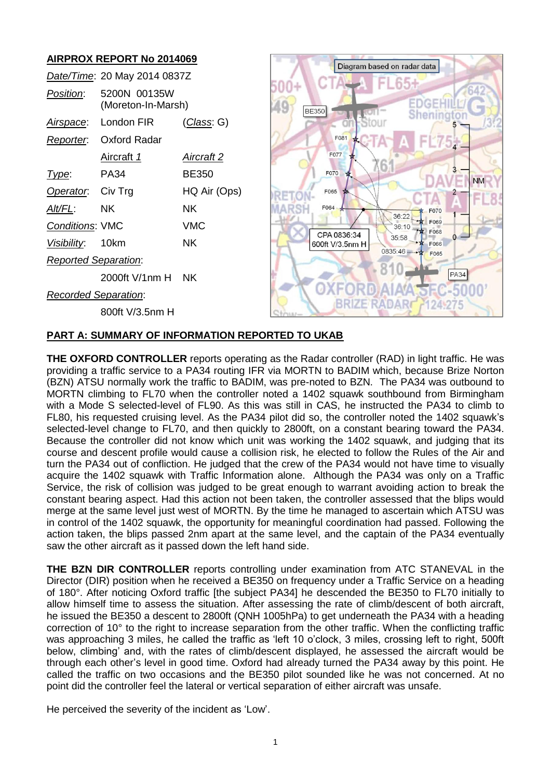# **AIRPROX REPORT No 2014069**

|                             | Date/Time: 20 May 2014 0837Z       |                    |  |  |  |
|-----------------------------|------------------------------------|--------------------|--|--|--|
| Position:                   | 5200N 00135W<br>(Moreton-In-Marsh) |                    |  |  |  |
|                             | Airspace: London FIR               | <u>(Class</u> : G) |  |  |  |
|                             | Reporter. Oxford Radar             |                    |  |  |  |
|                             | Aircraft 1                         | Aircraft 2         |  |  |  |
| Type:                       | PA34                               | <b>BE350</b>       |  |  |  |
| Operator. Civ Trg           |                                    | HQ Air (Ops)       |  |  |  |
| Alt/FL:                     | – NK                               | NΚ                 |  |  |  |
| <b>Conditions: VMC</b>      |                                    | VMC                |  |  |  |
| Visibility: 10km            |                                    | ΝK                 |  |  |  |
| <b>Reported Separation:</b> |                                    |                    |  |  |  |
|                             | 2000ft V/1nm H NK                  |                    |  |  |  |
| Recorded Separation:        |                                    |                    |  |  |  |
|                             | 800ft V/3.5nm H                    |                    |  |  |  |



#### **PART A: SUMMARY OF INFORMATION REPORTED TO UKAB**

**THE OXFORD CONTROLLER** reports operating as the Radar controller (RAD) in light traffic. He was providing a traffic service to a PA34 routing IFR via MORTN to BADIM which, because Brize Norton (BZN) ATSU normally work the traffic to BADIM, was pre-noted to BZN. The PA34 was outbound to MORTN climbing to FL70 when the controller noted a 1402 squawk southbound from Birmingham with a Mode S selected-level of FL90. As this was still in CAS, he instructed the PA34 to climb to FL80, his requested cruising level. As the PA34 pilot did so, the controller noted the 1402 squawk's selected-level change to FL70, and then quickly to 2800ft, on a constant bearing toward the PA34. Because the controller did not know which unit was working the 1402 squawk, and judging that its course and descent profile would cause a collision risk, he elected to follow the Rules of the Air and turn the PA34 out of confliction. He judged that the crew of the PA34 would not have time to visually acquire the 1402 squawk with Traffic Information alone. Although the PA34 was only on a Traffic Service, the risk of collision was judged to be great enough to warrant avoiding action to break the constant bearing aspect. Had this action not been taken, the controller assessed that the blips would merge at the same level just west of MORTN. By the time he managed to ascertain which ATSU was in control of the 1402 squawk, the opportunity for meaningful coordination had passed. Following the action taken, the blips passed 2nm apart at the same level, and the captain of the PA34 eventually saw the other aircraft as it passed down the left hand side.

**THE BZN DIR CONTROLLER** reports controlling under examination from ATC STANEVAL in the Director (DIR) position when he received a BE350 on frequency under a Traffic Service on a heading of 180°. After noticing Oxford traffic [the subject PA34] he descended the BE350 to FL70 initially to allow himself time to assess the situation. After assessing the rate of climb/descent of both aircraft, he issued the BE350 a descent to 2800ft (QNH 1005hPa) to get underneath the PA34 with a heading correction of 10° to the right to increase separation from the other traffic. When the conflicting traffic was approaching 3 miles, he called the traffic as 'left 10 o'clock, 3 miles, crossing left to right, 500ft below, climbing' and, with the rates of climb/descent displayed, he assessed the aircraft would be through each other's level in good time. Oxford had already turned the PA34 away by this point. He called the traffic on two occasions and the BE350 pilot sounded like he was not concerned. At no point did the controller feel the lateral or vertical separation of either aircraft was unsafe.

He perceived the severity of the incident as 'Low'.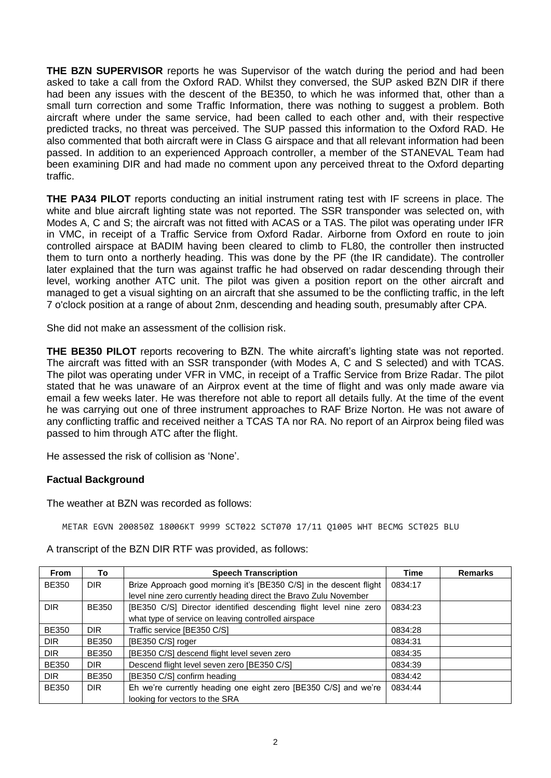**THE BZN SUPERVISOR** reports he was Supervisor of the watch during the period and had been asked to take a call from the Oxford RAD. Whilst they conversed, the SUP asked BZN DIR if there had been any issues with the descent of the BE350, to which he was informed that, other than a small turn correction and some Traffic Information, there was nothing to suggest a problem. Both aircraft where under the same service, had been called to each other and, with their respective predicted tracks, no threat was perceived. The SUP passed this information to the Oxford RAD. He also commented that both aircraft were in Class G airspace and that all relevant information had been passed. In addition to an experienced Approach controller, a member of the STANEVAL Team had been examining DIR and had made no comment upon any perceived threat to the Oxford departing traffic.

**THE PA34 PILOT** reports conducting an initial instrument rating test with IF screens in place. The white and blue aircraft lighting state was not reported. The SSR transponder was selected on, with Modes A, C and S; the aircraft was not fitted with ACAS or a TAS. The pilot was operating under IFR in VMC, in receipt of a Traffic Service from Oxford Radar. Airborne from Oxford en route to join controlled airspace at BADIM having been cleared to climb to FL80, the controller then instructed them to turn onto a northerly heading. This was done by the PF (the IR candidate). The controller later explained that the turn was against traffic he had observed on radar descending through their level, working another ATC unit. The pilot was given a position report on the other aircraft and managed to get a visual sighting on an aircraft that she assumed to be the conflicting traffic, in the left 7 o'clock position at a range of about 2nm, descending and heading south, presumably after CPA.

She did not make an assessment of the collision risk.

**THE BE350 PILOT** reports recovering to BZN. The white aircraft's lighting state was not reported. The aircraft was fitted with an SSR transponder (with Modes A, C and S selected) and with TCAS. The pilot was operating under VFR in VMC, in receipt of a Traffic Service from Brize Radar. The pilot stated that he was unaware of an Airprox event at the time of flight and was only made aware via email a few weeks later. He was therefore not able to report all details fully. At the time of the event he was carrying out one of three instrument approaches to RAF Brize Norton. He was not aware of any conflicting traffic and received neither a TCAS TA nor RA. No report of an Airprox being filed was passed to him through ATC after the flight.

He assessed the risk of collision as 'None'.

### **Factual Background**

The weather at BZN was recorded as follows:

METAR EGVN 200850Z 18006KT 9999 SCT022 SCT070 17/11 Q1005 WHT BECMG SCT025 BLU

A transcript of the BZN DIR RTF was provided, as follows:

| <b>From</b>  | To           | <b>Speech Transcription</b>                                        | <b>Time</b> | <b>Remarks</b> |
|--------------|--------------|--------------------------------------------------------------------|-------------|----------------|
| <b>BE350</b> | <b>DIR</b>   | Brize Approach good morning it's [BE350 C/S] in the descent flight | 0834:17     |                |
|              |              | level nine zero currently heading direct the Bravo Zulu November   |             |                |
| <b>DIR</b>   | <b>BE350</b> | [BE350 C/S] Director identified descending flight level nine zero  | 0834:23     |                |
|              |              | what type of service on leaving controlled airspace                |             |                |
| <b>BE350</b> | <b>DIR</b>   | Traffic service [BE350 C/S]                                        | 0834:28     |                |
| <b>DIR</b>   | <b>BE350</b> | [BE350 C/S] roger                                                  | 0834:31     |                |
| <b>DIR</b>   | <b>BE350</b> | [BE350 C/S] descend flight level seven zero                        | 0834:35     |                |
| <b>BE350</b> | <b>DIR</b>   | Descend flight level seven zero [BE350 C/S]                        | 0834:39     |                |
| <b>DIR</b>   | <b>BE350</b> | [BE350 C/S] confirm heading                                        | 0834:42     |                |
| <b>BE350</b> | DIR.         | Eh we're currently heading one eight zero [BE350 C/S] and we're    | 0834:44     |                |
|              |              | looking for vectors to the SRA                                     |             |                |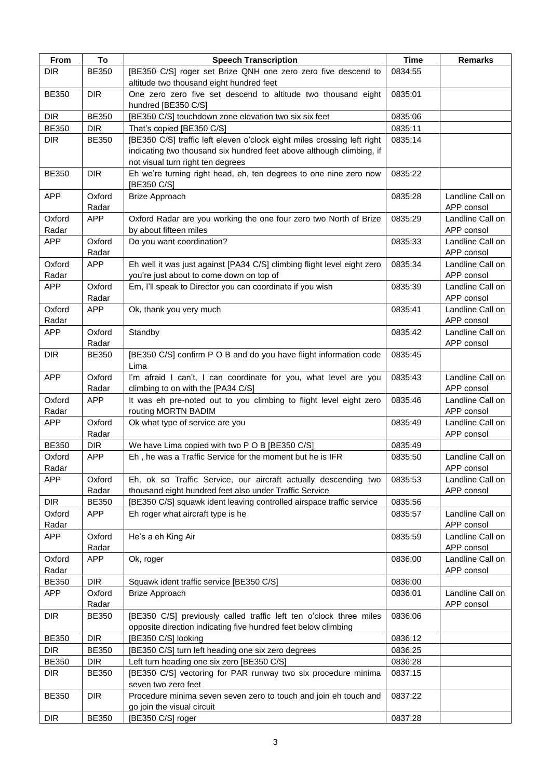| From         | To           | <b>Speech Transcription</b>                                                                               | <b>Time</b> | <b>Remarks</b>   |
|--------------|--------------|-----------------------------------------------------------------------------------------------------------|-------------|------------------|
| <b>DIR</b>   | <b>BE350</b> | [BE350 C/S] roger set Brize QNH one zero zero five descend to                                             | 0834:55     |                  |
|              |              | altitude two thousand eight hundred feet                                                                  |             |                  |
| <b>BE350</b> | <b>DIR</b>   | One zero zero five set descend to altitude two thousand eight<br>hundred [BE350 C/S]                      | 0835:01     |                  |
| <b>DIR</b>   | <b>BE350</b> |                                                                                                           | 0835:06     |                  |
|              | <b>DIR</b>   | [BE350 C/S] touchdown zone elevation two six six feet                                                     |             |                  |
| <b>BE350</b> |              | That's copied [BE350 C/S]                                                                                 | 0835:11     |                  |
| <b>DIR</b>   | <b>BE350</b> | [BE350 C/S] traffic left eleven o'clock eight miles crossing left right                                   | 0835:14     |                  |
|              |              | indicating two thousand six hundred feet above although climbing, if<br>not visual turn right ten degrees |             |                  |
| <b>BE350</b> | <b>DIR</b>   | Eh we're turning right head, eh, ten degrees to one nine zero now                                         | 0835:22     |                  |
|              |              | [BE350 C/S]                                                                                               |             |                  |
| <b>APP</b>   | Oxford       | <b>Brize Approach</b>                                                                                     | 0835:28     | Landline Call on |
|              | Radar        |                                                                                                           |             | APP consol       |
| Oxford       | <b>APP</b>   | Oxford Radar are you working the one four zero two North of Brize                                         | 0835:29     | Landline Call on |
| Radar        |              | by about fifteen miles                                                                                    |             | APP consol       |
| APP          | Oxford       | Do you want coordination?                                                                                 | 0835:33     | Landline Call on |
|              | Radar        |                                                                                                           |             | APP consol       |
| Oxford       | <b>APP</b>   | Eh well it was just against [PA34 C/S] climbing flight level eight zero                                   | 0835:34     | Landline Call on |
| Radar        |              | you're just about to come down on top of                                                                  |             | APP consol       |
| <b>APP</b>   | Oxford       | Em, I'll speak to Director you can coordinate if you wish                                                 | 0835:39     | Landline Call on |
|              | Radar        |                                                                                                           |             | APP consol       |
| Oxford       | <b>APP</b>   | Ok, thank you very much                                                                                   | 0835:41     | Landline Call on |
| Radar        |              |                                                                                                           |             | APP consol       |
| <b>APP</b>   | Oxford       | Standby                                                                                                   | 0835:42     | Landline Call on |
|              | Radar        |                                                                                                           |             | APP consol       |
| <b>DIR</b>   | <b>BE350</b> | [BE350 C/S] confirm P O B and do you have flight information code                                         | 0835:45     |                  |
|              |              | Lima                                                                                                      |             |                  |
| <b>APP</b>   | Oxford       | I'm afraid I can't, I can coordinate for you, what level are you                                          | 0835:43     | Landline Call on |
|              | Radar        | climbing to on with the [PA34 C/S]                                                                        |             | APP consol       |
| Oxford       | <b>APP</b>   | It was eh pre-noted out to you climbing to flight level eight zero                                        | 0835:46     | Landline Call on |
| Radar        |              | routing MORTN BADIM                                                                                       |             | APP consol       |
| <b>APP</b>   | Oxford       | Ok what type of service are you                                                                           | 0835:49     | Landline Call on |
|              | Radar        |                                                                                                           |             | APP consol       |
| <b>BE350</b> | <b>DIR</b>   | We have Lima copied with two P O B [BE350 C/S]                                                            | 0835:49     |                  |
| Oxford       | <b>APP</b>   | Eh, he was a Traffic Service for the moment but he is IFR                                                 | 0835:50     | Landline Call on |
| Radar        |              |                                                                                                           |             | APP consol       |
| <b>APP</b>   | Oxford       | Eh, ok so Traffic Service, our aircraft actually descending two                                           | 0835:53     | Landline Call on |
|              | Radar        | thousand eight hundred feet also under Traffic Service                                                    |             | APP consol       |
| <b>DIR</b>   | <b>BE350</b> | [BE350 C/S] squawk ident leaving controlled airspace traffic service                                      | 0835:56     |                  |
| Oxford       | <b>APP</b>   | Eh roger what aircraft type is he                                                                         | 0835:57     | Landline Call on |
| Radar        |              |                                                                                                           |             | APP consol       |
| <b>APP</b>   | Oxford       | He's a eh King Air                                                                                        | 0835:59     | Landline Call on |
|              | Radar        |                                                                                                           |             | APP consol       |
| Oxford       | <b>APP</b>   | Ok, roger                                                                                                 | 0836:00     | Landline Call on |
| Radar        |              |                                                                                                           |             | APP consol       |
| <b>BE350</b> | <b>DIR</b>   | Squawk ident traffic service [BE350 C/S]                                                                  | 0836:00     |                  |
| <b>APP</b>   | Oxford       | <b>Brize Approach</b>                                                                                     | 0836:01     | Landline Call on |
|              | Radar        |                                                                                                           |             | APP consol       |
| <b>DIR</b>   | <b>BE350</b> | [BE350 C/S] previously called traffic left ten o'clock three miles                                        | 0836:06     |                  |
|              |              | opposite direction indicating five hundred feet below climbing                                            |             |                  |
| <b>BE350</b> | <b>DIR</b>   | [BE350 C/S] looking                                                                                       | 0836:12     |                  |
| <b>DIR</b>   | <b>BE350</b> | [BE350 C/S] turn left heading one six zero degrees                                                        | 0836:25     |                  |
| <b>BE350</b> | <b>DIR</b>   | Left turn heading one six zero [BE350 C/S]                                                                | 0836:28     |                  |
| <b>DIR</b>   | <b>BE350</b> | [BE350 C/S] vectoring for PAR runway two six procedure minima                                             | 0837:15     |                  |
|              |              | seven two zero feet                                                                                       |             |                  |
| <b>BE350</b> | <b>DIR</b>   | Procedure minima seven seven zero to touch and join eh touch and                                          | 0837:22     |                  |
|              |              | go join the visual circuit                                                                                |             |                  |
| <b>DIR</b>   | <b>BE350</b> | [BE350 C/S] roger                                                                                         | 0837:28     |                  |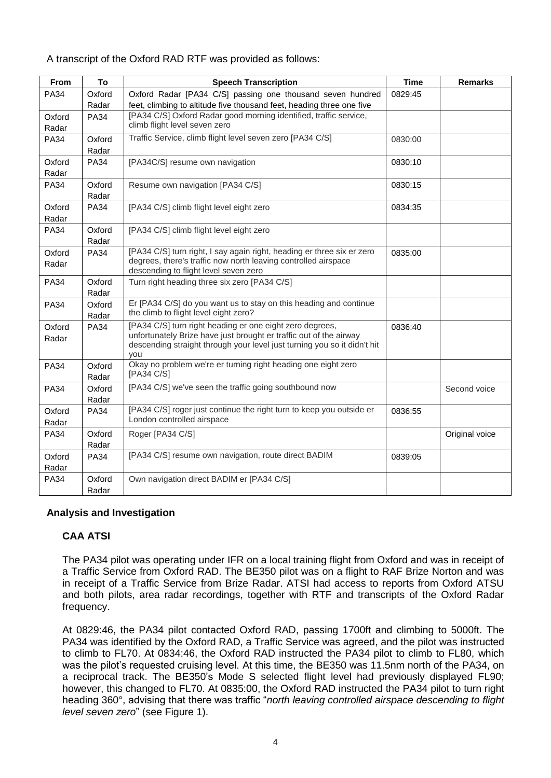### A transcript of the Oxford RAD RTF was provided as follows:

| From        | To                   | <b>Speech Transcription</b>                                                                                | <b>Time</b> | <b>Remarks</b> |
|-------------|----------------------|------------------------------------------------------------------------------------------------------------|-------------|----------------|
| <b>PA34</b> | Oxford               | Oxford Radar [PA34 C/S] passing one thousand seven hundred                                                 | 0829:45     |                |
|             | Radar                | feet, climbing to altitude five thousand feet, heading three one five                                      |             |                |
| Oxford      | <b>PA34</b>          | [PA34 C/S] Oxford Radar good morning identified, traffic service,<br>climb flight level seven zero         |             |                |
| Radar       |                      |                                                                                                            |             |                |
| <b>PA34</b> | Oxford               | Traffic Service, climb flight level seven zero [PA34 C/S]                                                  | 0830:00     |                |
|             | Radar                |                                                                                                            |             |                |
| Oxford      | <b>PA34</b>          | [PA34C/S] resume own navigation                                                                            | 0830:10     |                |
| Radar       |                      |                                                                                                            |             |                |
| <b>PA34</b> | Oxford<br>Radar      | Resume own navigation [PA34 C/S]                                                                           | 0830:15     |                |
| Oxford      | <b>PA34</b>          | [PA34 C/S] climb flight level eight zero                                                                   | 0834:35     |                |
| Radar       |                      |                                                                                                            |             |                |
| <b>PA34</b> | Oxford               | [PA34 C/S] climb flight level eight zero                                                                   |             |                |
|             | Radar                |                                                                                                            |             |                |
| Oxford      | <b>PA34</b>          | [PA34 C/S] turn right, I say again right, heading er three six er zero                                     | 0835:00     |                |
| Radar       |                      | degrees, there's traffic now north leaving controlled airspace                                             |             |                |
|             |                      | descending to flight level seven zero                                                                      |             |                |
| <b>PA34</b> | Oxford               | Turn right heading three six zero [PA34 C/S]                                                               |             |                |
|             | Radar                |                                                                                                            |             |                |
| <b>PA34</b> | Oxford               | Er [PA34 C/S] do you want us to stay on this heading and continue<br>the climb to flight level eight zero? |             |                |
| Oxford      | Radar<br><b>PA34</b> | [PA34 C/S] turn right heading er one eight zero degrees,                                                   | 0836:40     |                |
| Radar       |                      | unfortunately Brize have just brought er traffic out of the airway                                         |             |                |
|             |                      | descending straight through your level just turning you so it didn't hit                                   |             |                |
|             |                      | you                                                                                                        |             |                |
| <b>PA34</b> | Oxford               | Okay no problem we're er turning right heading one eight zero                                              |             |                |
|             | Radar                | [PA34 C/S]                                                                                                 |             |                |
| <b>PA34</b> | Oxford               | [PA34 C/S] we've seen the traffic going southbound now                                                     |             | Second voice   |
|             | Radar                | [PA34 C/S] roger just continue the right turn to keep you outside er                                       |             |                |
| Oxford      | <b>PA34</b>          | London controlled airspace                                                                                 | 0836:55     |                |
| Radar       |                      |                                                                                                            |             |                |
| <b>PA34</b> | Oxford<br>Radar      | Roger [PA34 C/S]                                                                                           |             | Original voice |
| Oxford      | <b>PA34</b>          | [PA34 C/S] resume own navigation, route direct BADIM                                                       | 0839:05     |                |
| Radar       |                      |                                                                                                            |             |                |
| <b>PA34</b> | Oxford               | Own navigation direct BADIM er [PA34 C/S]                                                                  |             |                |
|             | Radar                |                                                                                                            |             |                |

### **Analysis and Investigation**

# **CAA ATSI**

The PA34 pilot was operating under IFR on a local training flight from Oxford and was in receipt of a Traffic Service from Oxford RAD. The BE350 pilot was on a flight to RAF Brize Norton and was in receipt of a Traffic Service from Brize Radar. ATSI had access to reports from Oxford ATSU and both pilots, area radar recordings, together with RTF and transcripts of the Oxford Radar frequency.

At 0829:46, the PA34 pilot contacted Oxford RAD, passing 1700ft and climbing to 5000ft. The PA34 was identified by the Oxford RAD, a Traffic Service was agreed, and the pilot was instructed to climb to FL70. At 0834:46, the Oxford RAD instructed the PA34 pilot to climb to FL80, which was the pilot's requested cruising level. At this time, the BE350 was 11.5nm north of the PA34, on a reciprocal track. The BE350's Mode S selected flight level had previously displayed FL90; however, this changed to FL70. At 0835:00, the Oxford RAD instructed the PA34 pilot to turn right heading 360°, advising that there was traffic "*north leaving controlled airspace descending to flight level seven zero*" (see Figure 1).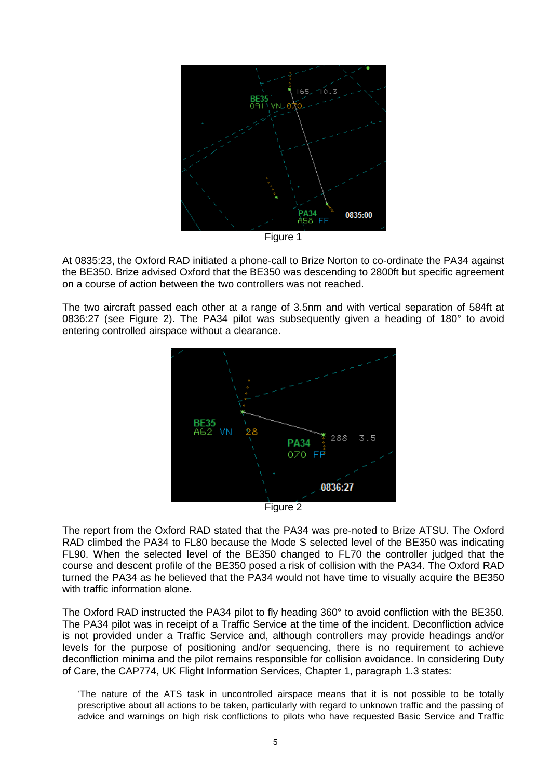

Figure 1

At 0835:23, the Oxford RAD initiated a phone-call to Brize Norton to co-ordinate the PA34 against the BE350. Brize advised Oxford that the BE350 was descending to 2800ft but specific agreement on a course of action between the two controllers was not reached.

The two aircraft passed each other at a range of 3.5nm and with vertical separation of 584ft at 0836:27 (see Figure 2). The PA34 pilot was subsequently given a heading of 180° to avoid entering controlled airspace without a clearance.



Figure 2

The report from the Oxford RAD stated that the PA34 was pre-noted to Brize ATSU. The Oxford RAD climbed the PA34 to FL80 because the Mode S selected level of the BE350 was indicating FL90. When the selected level of the BE350 changed to FL70 the controller judged that the course and descent profile of the BE350 posed a risk of collision with the PA34. The Oxford RAD turned the PA34 as he believed that the PA34 would not have time to visually acquire the BE350 with traffic information alone.

The Oxford RAD instructed the PA34 pilot to fly heading 360° to avoid confliction with the BE350. The PA34 pilot was in receipt of a Traffic Service at the time of the incident. Deconfliction advice is not provided under a Traffic Service and, although controllers may provide headings and/or levels for the purpose of positioning and/or sequencing, there is no requirement to achieve deconfliction minima and the pilot remains responsible for collision avoidance. In considering Duty of Care, the CAP774, UK Flight Information Services, Chapter 1, paragraph 1.3 states:

'The nature of the ATS task in uncontrolled airspace means that it is not possible to be totally prescriptive about all actions to be taken, particularly with regard to unknown traffic and the passing of advice and warnings on high risk conflictions to pilots who have requested Basic Service and Traffic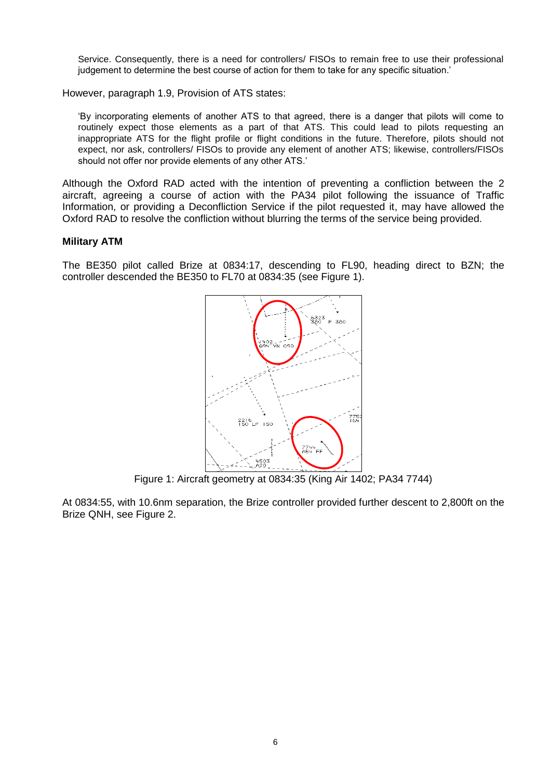Service. Consequently, there is a need for controllers/ FISOs to remain free to use their professional judgement to determine the best course of action for them to take for any specific situation.'

However, paragraph 1.9, Provision of ATS states:

'By incorporating elements of another ATS to that agreed, there is a danger that pilots will come to routinely expect those elements as a part of that ATS. This could lead to pilots requesting an inappropriate ATS for the flight profile or flight conditions in the future. Therefore, pilots should not expect, nor ask, controllers/ FISOs to provide any element of another ATS; likewise, controllers/FISOs should not offer nor provide elements of any other ATS.'

Although the Oxford RAD acted with the intention of preventing a confliction between the 2 aircraft, agreeing a course of action with the PA34 pilot following the issuance of Traffic Information, or providing a Deconfliction Service if the pilot requested it, may have allowed the Oxford RAD to resolve the confliction without blurring the terms of the service being provided.

#### **Military ATM**

The BE350 pilot called Brize at 0834:17, descending to FL90, heading direct to BZN; the controller descended the BE350 to FL70 at 0834:35 (see Figure 1).



Figure 1: Aircraft geometry at 0834:35 (King Air 1402; PA34 7744)

At 0834:55, with 10.6nm separation, the Brize controller provided further descent to 2,800ft on the Brize QNH, see Figure 2.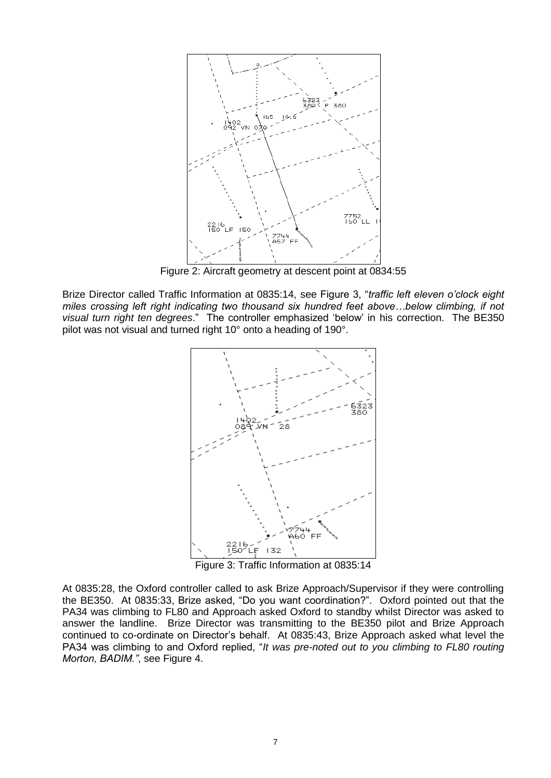

Figure 2: Aircraft geometry at descent point at 0834:55

Brize Director called Traffic Information at 0835:14, see Figure 3, "*traffic left eleven o'clock eight miles crossing left right indicating two thousand six hundred feet above…below climbing, if not visual turn right ten degrees*." The controller emphasized 'below' in his correction. The BE350 pilot was not visual and turned right 10° onto a heading of 190°.



Figure 3: Traffic Information at 0835:14

At 0835:28, the Oxford controller called to ask Brize Approach/Supervisor if they were controlling the BE350. At 0835:33, Brize asked, "Do you want coordination?". Oxford pointed out that the PA34 was climbing to FL80 and Approach asked Oxford to standby whilst Director was asked to answer the landline. Brize Director was transmitting to the BE350 pilot and Brize Approach continued to co-ordinate on Director's behalf. At 0835:43, Brize Approach asked what level the PA34 was climbing to and Oxford replied, "*It was pre-noted out to you climbing to FL80 routing Morton, BADIM."*, see Figure 4.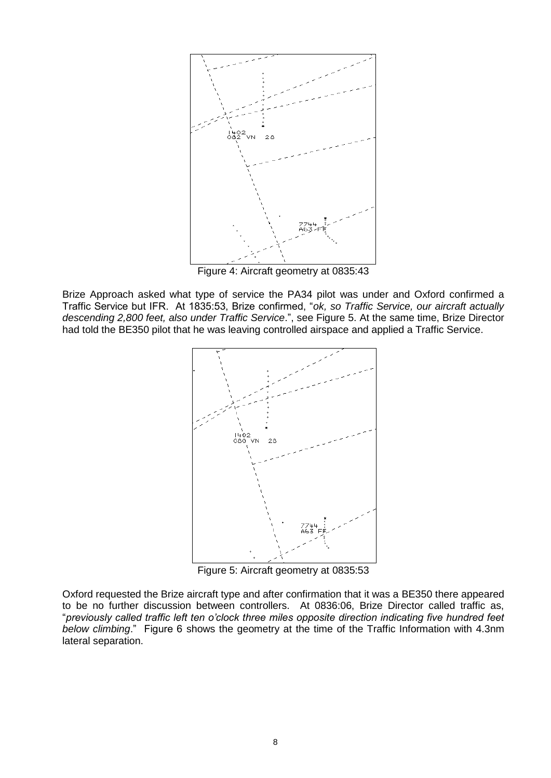

Figure 4: Aircraft geometry at 0835:43

Brize Approach asked what type of service the PA34 pilot was under and Oxford confirmed a Traffic Service but IFR. At 1835:53, Brize confirmed, "*ok, so Traffic Service, our aircraft actually descending 2,800 feet, also under Traffic Service*.", see Figure 5. At the same time, Brize Director had told the BE350 pilot that he was leaving controlled airspace and applied a Traffic Service.



Figure 5: Aircraft geometry at 0835:53

Oxford requested the Brize aircraft type and after confirmation that it was a BE350 there appeared to be no further discussion between controllers. At 0836:06, Brize Director called traffic as, "*previously called traffic left ten o'clock three miles opposite direction indicating five hundred feet below climbing*." Figure 6 shows the geometry at the time of the Traffic Information with 4.3nm lateral separation.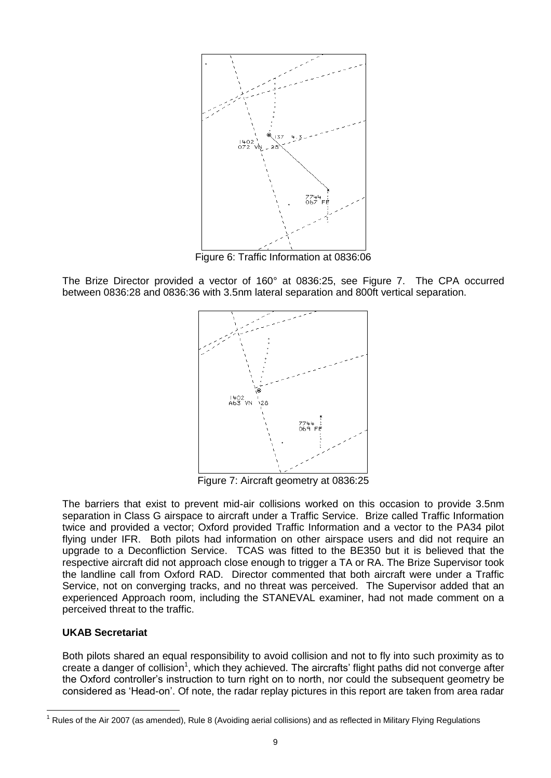

Figure 6: Traffic Information at 0836:06

The Brize Director provided a vector of 160° at 0836:25, see Figure 7. The CPA occurred between 0836:28 and 0836:36 with 3.5nm lateral separation and 800ft vertical separation.



Figure 7: Aircraft geometry at 0836:25

The barriers that exist to prevent mid-air collisions worked on this occasion to provide 3.5nm separation in Class G airspace to aircraft under a Traffic Service. Brize called Traffic Information twice and provided a vector; Oxford provided Traffic Information and a vector to the PA34 pilot flying under IFR. Both pilots had information on other airspace users and did not require an upgrade to a Deconfliction Service. TCAS was fitted to the BE350 but it is believed that the respective aircraft did not approach close enough to trigger a TA or RA. The Brize Supervisor took the landline call from Oxford RAD. Director commented that both aircraft were under a Traffic Service, not on converging tracks, and no threat was perceived. The Supervisor added that an experienced Approach room, including the STANEVAL examiner, had not made comment on a perceived threat to the traffic.

# **UKAB Secretariat**

Both pilots shared an equal responsibility to avoid collision and not to fly into such proximity as to create a danger of collision<sup>1</sup>, which they achieved. The aircrafts' flight paths did not converge after the Oxford controller's instruction to turn right on to north, nor could the subsequent geometry be considered as 'Head-on'. Of note, the radar replay pictures in this report are taken from area radar

 $\overline{a}$  $1$  Rules of the Air 2007 (as amended), Rule 8 (Avoiding aerial collisions) and as reflected in Military Flying Regulations